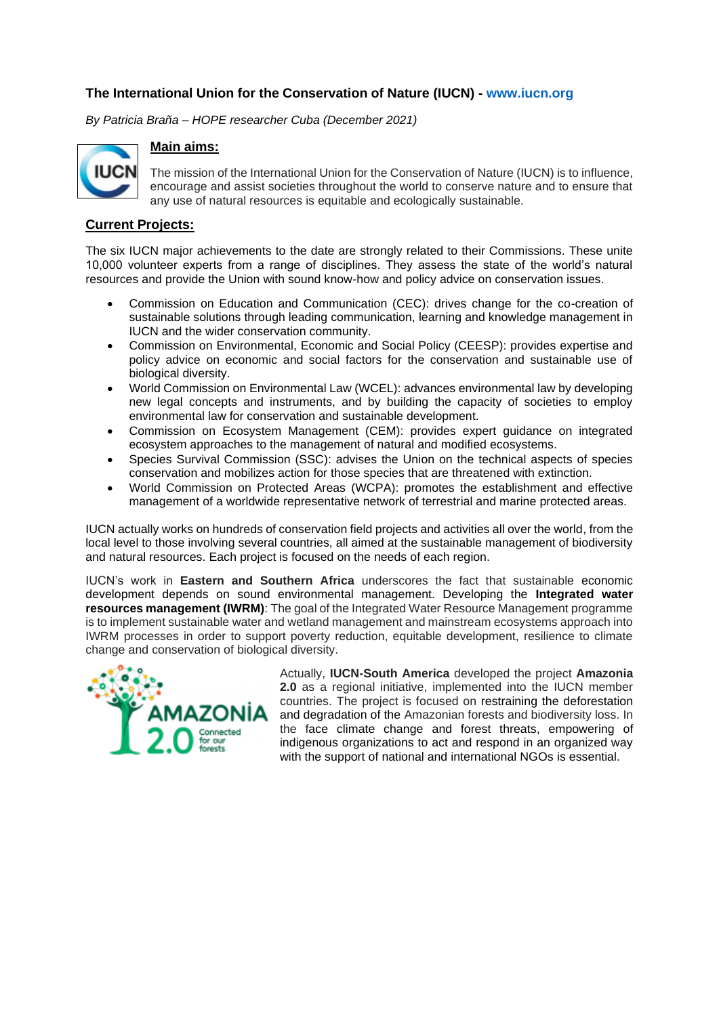## **The International Union for the Conservation of Nature (IUCN) - [www.iucn.org](http://www.iucn.org/)**

*By Patricia Braña – HOPE researcher Cuba (December 2021)*



## **Main aims:**

The mission of the International Union for the Conservation of Nature (IUCN) is to influence, encourage and assist societies throughout the world to conserve nature and to ensure that any use of natural resources is equitable and ecologically sustainable.

## **Current Projects:**

The six IUCN major achievements to the date are strongly related to their Commissions. These unite 10,000 volunteer experts from a range of disciplines. They assess the state of the world's natural resources and provide the Union with sound know-how and policy advice on conservation issues.

- Commission on Education and Communication (CEC): drives change for the co-creation of sustainable solutions through leading communication, learning and knowledge management in IUCN and the wider conservation community.
- Commission on Environmental, Economic and Social Policy (CEESP): provides expertise and policy advice on economic and social factors for the conservation and sustainable use of biological diversity.
- World Commission on Environmental Law (WCEL): advances environmental law by developing new legal concepts and instruments, and by building the capacity of societies to employ environmental law for conservation and sustainable development.
- Commission on Ecosystem Management (CEM): provides expert guidance on integrated ecosystem approaches to the management of natural and modified ecosystems.
- Species Survival Commission (SSC): advises the Union on the technical aspects of species conservation and mobilizes action for those species that are threatened with extinction.
- World Commission on Protected Areas (WCPA): promotes the establishment and effective management of a worldwide representative network of terrestrial and marine protected areas.

IUCN actually works on hundreds of conservation field projects and activities all over the world, from the local level to those involving several countries, all aimed at the sustainable management of biodiversity and natural resources. Each project is focused on the needs of each region.

IUCN's work in **Eastern and Southern Africa** underscores the fact that sustainable economic development depends on sound environmental management. Developing the **[Integrated water](https://www.iucn.org/regions/eastern-and-southern-africa/our-work/integrated-water-resources-management)  [resources management](https://www.iucn.org/regions/eastern-and-southern-africa/our-work/integrated-water-resources-management) [\(IWRM\)](https://www.iucn.org/regions/eastern-and-southern-africa/our-work/integrated-water-resources-management)**: The goal of the Integrated Water Resource Management programme is to implement sustainable water and wetland management and mainstream ecosystems approach into IWRM processes in order to support poverty reduction, equitable development, resilience to climate change and conservation of biological diversity.



Actually, **IUCN-South America** developed the project **Amazonia 2.0** as a regional initiative, implemented into the IUCN member countries. The project is focused on restraining the deforestation and degradation of the Amazonian forests and biodiversity loss. In the face climate change and forest threats, empowering of indigenous organizations to act and respond in an organized way with the support of national and international NGOs is essential.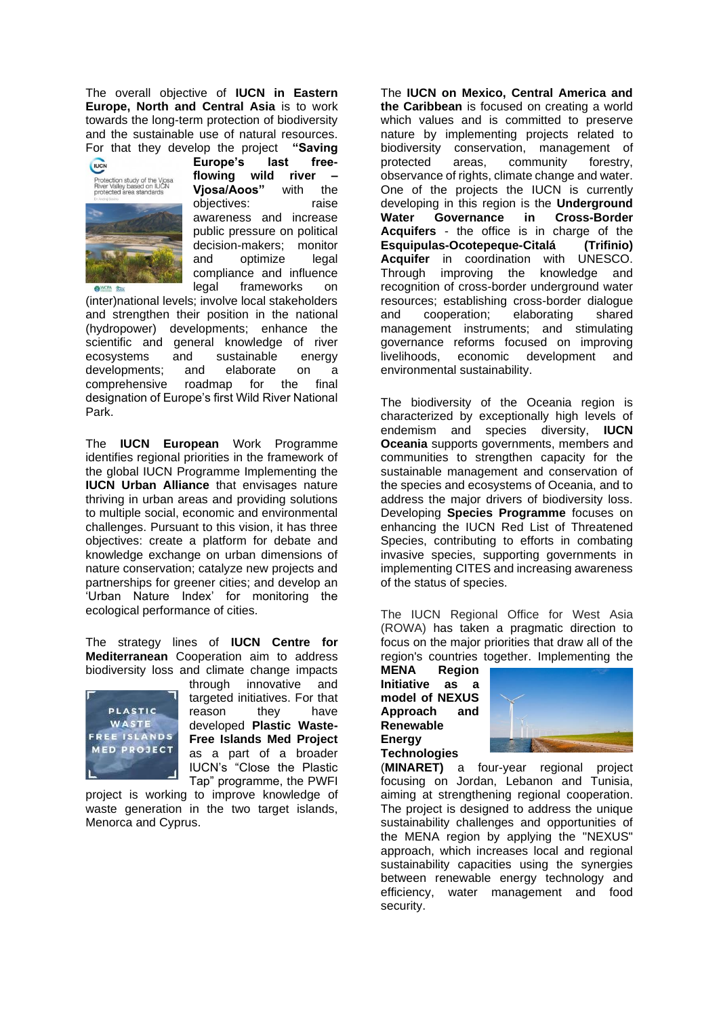The overall objective of **IUCN in Eastern Europe, North and Central Asia** is to work towards the long-term protection of biodiversity and the sustainable use of natural resources. For that they develop the project **"Saving** 



**Europe's last freeflowing wild river – Vjosa/Aoos"** with the objectives: raise awareness and increase public pressure on political decision-makers; monitor and optimize legal compliance and influence legal frameworks on

(inter)national levels; involve local stakeholders and strengthen their position in the national (hydropower) developments; enhance the scientific and general knowledge of river ecosystems and sustainable energy developments; and elaborate on a comprehensive roadmap for the final designation of Europe's first Wild River National Park.

The **IUCN European** Work Programme identifies regional priorities in the framework of the global IUCN Programme Implementing the **IUCN Urban Alliance** that envisages nature thriving in urban areas and providing solutions to multiple social, economic and environmental challenges. Pursuant to this vision, it has three objectives: create a platform for debate and knowledge exchange on urban dimensions of nature conservation; catalyze new projects and partnerships for greener cities; and develop an 'Urban Nature Index' for monitoring the ecological performance of cities.

The strategy lines of **IUCN Centre for Mediterranean** Cooperation aim to address biodiversity loss and climate change impacts



through innovative and targeted initiatives. For that reason they have developed **[Plastic Waste-](https://www.iucn.org/regions/mediterranean/projects/current-projects/plastic-waste-free-islands-med-project)[Free Islands Med Project](https://www.iucn.org/regions/mediterranean/projects/current-projects/plastic-waste-free-islands-med-project)** as a part of a broader IUCN's ["Close the Plastic](https://www.iucn.org/theme/marine-and-polar/our-work/close-plastic-tap-programme)  [Tap" programme,](https://www.iucn.org/theme/marine-and-polar/our-work/close-plastic-tap-programme) the PWFI

project is working to improve knowledge of waste generation in the two target islands, Menorca and Cyprus.

The **IUCN on Mexico, Central America and the Caribbean** is focused on creating a world which values and is committed to preserve nature by implementing projects related to biodiversity conservation, management of protected areas, community forestry, observance of rights, climate change and water. One of the projects the IUCN is currently developing in this region is the **Underground Water Governance in Cross-Border**  Acquifers - the office is in charge of the<br>Esquipulas-Ocotepeque-Citalá (Trifinio) **Esquipulas-Ocotepeque-Citalá Acquifer** in coordination with UNESCO. Through improving the knowledge and recognition of cross-border underground water resources; establishing cross-border dialogue and cooperation; elaborating shared management instruments; and stimulating governance reforms focused on improving livelihoods, economic development and environmental sustainability.

The biodiversity of the Oceania region is characterized by exceptionally high levels of endemism and species diversity, **IUCN Oceania** supports governments, members and communities to strengthen capacity for the sustainable management and conservation of the species and ecosystems of Oceania, and to address the major drivers of biodiversity loss. Developing **Species Programme** focuses on enhancing the IUCN Red List of Threatened Species, contributing to efforts in combating invasive species, supporting governments in implementing CITES and increasing awareness of the status of species.

The IUCN Regional Office for West Asia (ROWA) has taken a pragmatic direction to focus on the major priorities that draw all of the region's countries together. Implementing the

**MENA Region Initiative as a model of NEXUS Approach and Renewable Energy Technologies** 



(**MINARET)** a four-year regional project focusing on Jordan, Lebanon and Tunisia, aiming at strengthening regional cooperation. The project is designed to address the unique sustainability challenges and opportunities of the MENA region by applying the "NEXUS" approach, which increases local and regional sustainability capacities using the synergies between renewable energy technology and efficiency, water management and food security.